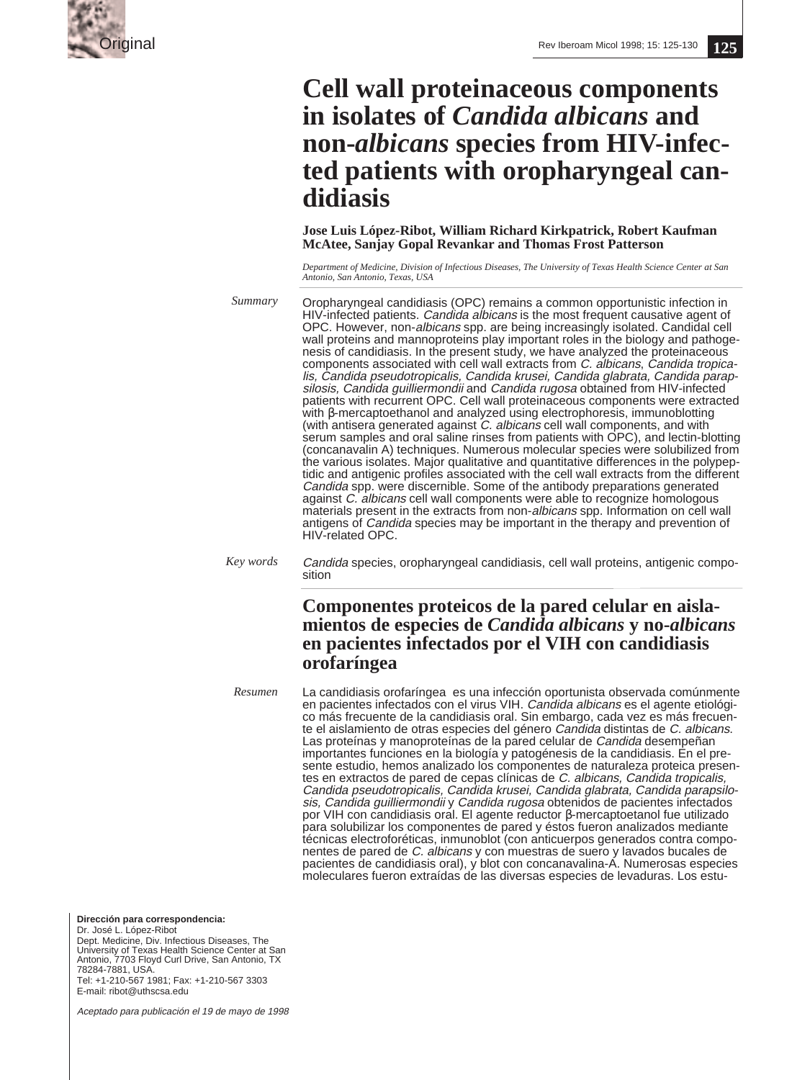

# **Cell wall proteinaceous components in isolates of** *Candida albicans* **and non-***albicans* **species from HIV-infected patients with oropharyngeal candidiasis**

**Jose Luis López-Ribot, William Richard Kirkpatrick, Robert Kaufman McAtee, Sanjay Gopal Revankar and Thomas Frost Patterson**

*Department of Medicine, Division of Infectious Diseases, The University of Texas Health Science Center at San Antonio, San Antonio, Texas, USA*

*Summary*

Oropharyngeal candidiasis (OPC) remains a common opportunistic infection in HIV-infected patients. Candida albicans is the most frequent causative agent of OPC. However, non-albicans spp. are being increasingly isolated. Candidal cell wall proteins and mannoproteins play important roles in the biology and pathogenesis of candidiasis. In the present study, we have analyzed the proteinaceous components associated with cell wall extracts from C. albicans, Candida tropicalis, Candida pseudotropicalis, Candida krusei, Candida glabrata, Candida parapsilosis, Candida guilliermondii and Candida rugosa obtained from HIV-infected patients with recurrent OPC. Cell wall proteinaceous components were extracted with β-mercaptoethanol and analyzed using electrophoresis, immunoblotting (with antisera generated against C. albicans cell wall components, and with serum samples and oral saline rinses from patients with OPC), and lectin-blotting (concanavalin A) techniques. Numerous molecular species were solubilized from the various isolates. Major qualitative and quantitative differences in the polypeptidic and antigenic profiles associated with the cell wall extracts from the different Candida spp. were discernible. Some of the antibody preparations generated against C. albicans cell wall components were able to recognize homologous materials present in the extracts from non-*albicans* spp. Information on cell wall antigens of Candida species may be important in the therapy and prevention of HIV-related OPC.

Candida species, oropharyngeal candidiasis, cell wall proteins, antigenic composition *Key words*

# **Componentes proteicos de la pared celular en aislamientos de especies de** *Candida albicans* **y no-***albicans* **en pacientes infectados por el VIH con candidiasis orofaríngea**

La candidiasis orofaríngea es una infección oportunista observada comúnmente en pacientes infectados con el virus VIH. Candida albicans es el agente etiológico más frecuente de la candidiasis oral. Sin embargo, cada vez es más frecuente el aislamiento de otras especies del género Candida distintas de C. albicans.<br>Las proteínas y manoproteínas de la pared celular de Candida desempeñan importantes funciones en la biología y patogénesis de la candidiasis. En el presente estudio, hemos analizado los componentes de naturaleza proteica presentes en extractos de pared de cepas clínicas de C. albicans, Candida tropicalis, Candida pseudotropicalis, Candida krusei, Candida glabrata, Candida parapsilosis, Candida guilliermondii y Candida rugosa obtenidos de pacientes infectados por VIH con candidiasis oral. El agente reductor β-mercaptoetanol fue utilizado para solubilizar los componentes de pared y éstos fueron analizados mediante técnicas electroforéticas, inmunoblot (con anticuerpos generados contra componentes de pared de C. albicans y con muestras de suero y lavados bucales de pacientes de candidiasis oral), y blot con concanavalina-A. Numerosas especies moleculares fueron extraídas de las diversas especies de levaduras. Los estu-*Resumen*

**Dirección para correspondencia:**

Dr. José L. López-Ribot Dept. Medicine, Div. Infectious Diseases, The University of Texas Health Science Center at San Antonio, 7703 Floyd Curl Drive, San Antonio, TX 78284-7881, USA.

Tel: +1-210-567 1981; Fax: +1-210-567 3303 E-mail: ribot@uthscsa.edu

Aceptado para publicación el 19 de mayo de 1998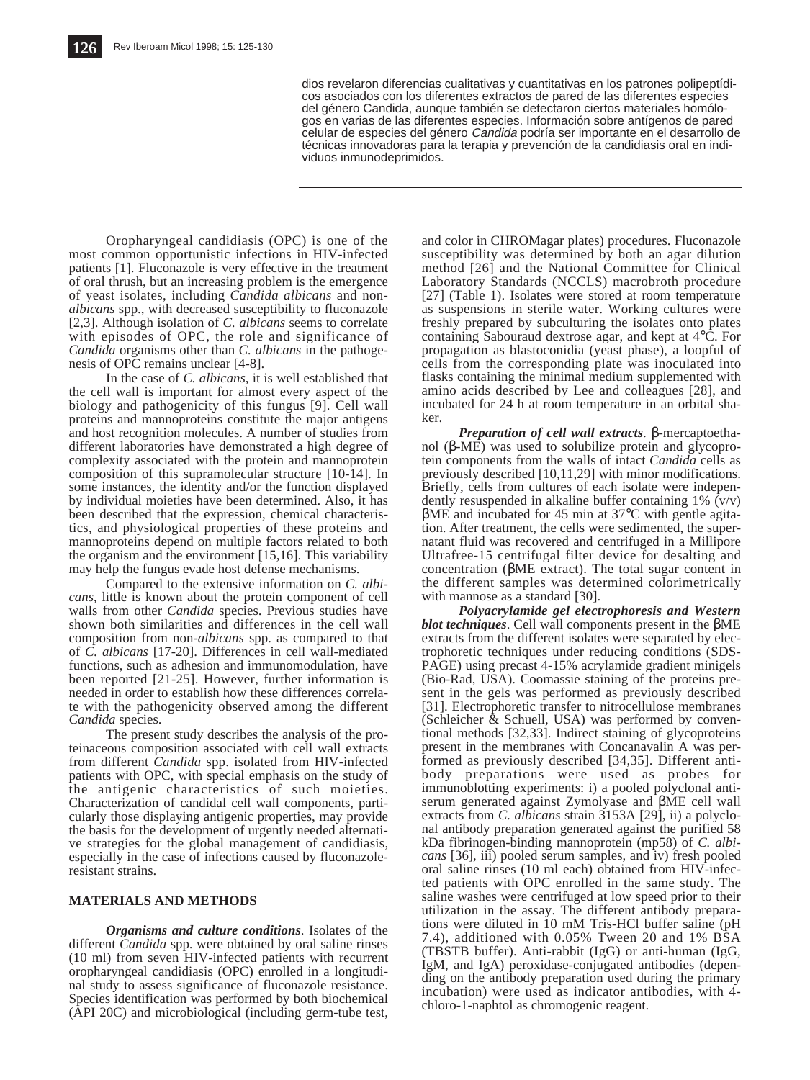dios revelaron diferencias cualitativas y cuantitativas en los patrones polipeptídicos asociados con los diferentes extractos de pared de las diferentes especies del género Candida, aunque también se detectaron ciertos materiales homólogos en varias de las diferentes especies. Información sobre antígenos de pared celular de especies del género Candida podría ser importante en el desarrollo de técnicas innovadoras para la terapia y prevención de la candidiasis oral en individuos inmunodeprimidos.

Oropharyngeal candidiasis (OPC) is one of the most common opportunistic infections in HIV-infected patients [1]. Fluconazole is very effective in the treatment of oral thrush, but an increasing problem is the emergence of yeast isolates, including *Candida albicans* and non*albicans* spp., with decreased susceptibility to fluconazole [2,3]. Although isolation of *C. albicans* seems to correlate with episodes of OPC, the role and significance of *Candida* organisms other than *C. albicans* in the pathogenesis of OPC remains unclear [4-8].

In the case of *C. albicans*, it is well established that the cell wall is important for almost every aspect of the biology and pathogenicity of this fungus [9]. Cell wall proteins and mannoproteins constitute the major antigens and host recognition molecules. A number of studies from different laboratories have demonstrated a high degree of complexity associated with the protein and mannoprotein composition of this supramolecular structure [10-14]. In some instances, the identity and/or the function displayed by individual moieties have been determined. Also, it has been described that the expression, chemical characteristics, and physiological properties of these proteins and mannoproteins depend on multiple factors related to both the organism and the environment [15,16]. This variability may help the fungus evade host defense mechanisms.

Compared to the extensive information on *C. albicans*, little is known about the protein component of cell walls from other *Candida* species. Previous studies have shown both similarities and differences in the cell wall composition from non-*albicans* spp. as compared to that of *C. albicans* [17-20]. Differences in cell wall-mediated functions, such as adhesion and immunomodulation, have been reported [21-25]. However, further information is needed in order to establish how these differences correlate with the pathogenicity observed among the different *Candida* species.

The present study describes the analysis of the proteinaceous composition associated with cell wall extracts from different *Candida* spp. isolated from HIV-infected patients with OPC, with special emphasis on the study of the antigenic characteristics of such moieties. Characterization of candidal cell wall components, particularly those displaying antigenic properties, may provide the basis for the development of urgently needed alternative strategies for the global management of candidiasis, especially in the case of infections caused by fluconazoleresistant strains.

#### **MATERIALS AND METHODS**

*Organisms and culture conditions*. Isolates of the different *Candida* spp. were obtained by oral saline rinses (10 ml) from seven HIV-infected patients with recurrent oropharyngeal candidiasis (OPC) enrolled in a longitudinal study to assess significance of fluconazole resistance. Species identification was performed by both biochemical (API 20C) and microbiological (including germ-tube test,

and color in CHROMagar plates) procedures. Fluconazole susceptibility was determined by both an agar dilution method [26] and the National Committee for Clinical Laboratory Standards (NCCLS) macrobroth procedure [27] (Table 1). Isolates were stored at room temperature as suspensions in sterile water. Working cultures were freshly prepared by subculturing the isolates onto plates containing Sabouraud dextrose agar, and kept at 4°C. For propagation as blastoconidia (yeast phase), a loopful of cells from the corresponding plate was inoculated into flasks containing the minimal medium supplemented with amino acids described by Lee and colleagues [28], and incubated for 24 h at room temperature in an orbital shaker.

*Preparation of cell wall extracts*. β-mercaptoethanol (β-ME) was used to solubilize protein and glycoprotein components from the walls of intact *Candida* cells as previously described [10,11,29] with minor modifications. Briefly, cells from cultures of each isolate were independently resuspended in alkaline buffer containing  $1\%$  (v/v) βME and incubated for 45 min at 37°C with gentle agitation. After treatment, the cells were sedimented, the supernatant fluid was recovered and centrifuged in a Millipore Ultrafree-15 centrifugal filter device for desalting and concentration (βME extract). The total sugar content in the different samples was determined colorimetrically with mannose as a standard [30].

*Polyacrylamide gel electrophoresis and Western blot techniques*. Cell wall components present in the βME extracts from the different isolates were separated by electrophoretic techniques under reducing conditions (SDS-PAGE) using precast 4-15% acrylamide gradient minigels (Bio-Rad, USA). Coomassie staining of the proteins present in the gels was performed as previously described [31]. Electrophoretic transfer to nitrocellulose membranes (Schleicher & Schuell, USA) was performed by conventional methods [32,33]. Indirect staining of glycoproteins present in the membranes with Concanavalin A was performed as previously described [34,35]. Different antibody preparations were used as probes for immunoblotting experiments: i) a pooled polyclonal antiserum generated against Zymolyase and βME cell wall extracts from *C. albicans* strain 3153A [29], ii) a polyclonal antibody preparation generated against the purified 58 kDa fibrinogen-binding mannoprotein (mp58) of *C. albicans* [36], iii) pooled serum samples, and iv) fresh pooled oral saline rinses (10 ml each) obtained from HIV-infected patients with OPC enrolled in the same study. The saline washes were centrifuged at low speed prior to their utilization in the assay. The different antibody preparations were diluted in 10 mM Tris-HCl buffer saline (pH 7.4), additioned with 0.05% Tween 20 and 1% BSA (TBSTB buffer). Anti-rabbit (IgG) or anti-human (IgG, IgM, and IgA) peroxidase-conjugated antibodies (depending on the antibody preparation used during the primary incubation) were used as indicator antibodies, with 4 chloro-1-naphtol as chromogenic reagent.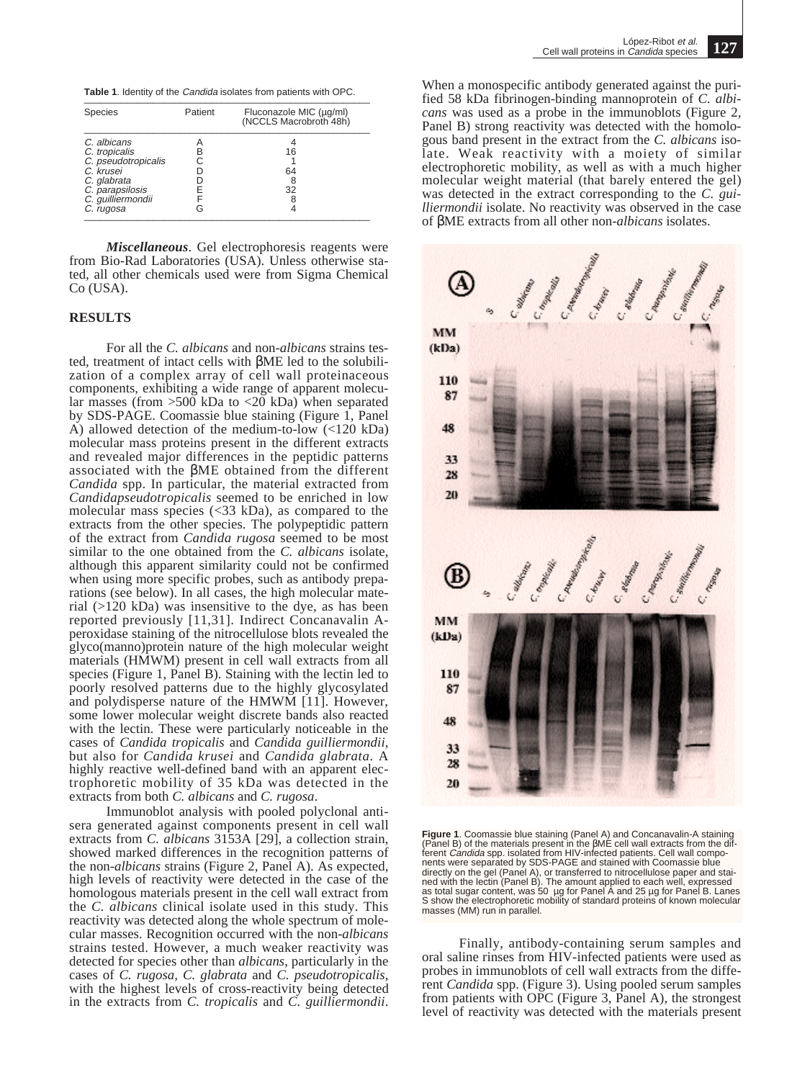**Table 1**. Identity of the *Candida* isolates from patients with OPC.

| <b>Species</b>                                                                  | Patient | Fluconazole MIC (µg/ml)<br>(NCCLS Macrobroth 48h) |
|---------------------------------------------------------------------------------|---------|---------------------------------------------------|
| C. albicans<br>C. tropicalis<br>C. pseudotropicalis<br>C. krusei<br>C. glabrata | R       | 16<br>64                                          |
| C. parapsilosis<br>C. guilliermondii<br>C. rugosa                               |         | 32                                                |

*Miscellaneous*. Gel electrophoresis reagents were from Bio-Rad Laboratories (USA). Unless otherwise stated, all other chemicals used were from Sigma Chemical Co (USA).

## **RESULTS**

For all the *C. albicans* and non-*albicans* strains tested, treatment of intact cells with βME led to the solubilization of a complex array of cell wall proteinaceous components, exhibiting a wide range of apparent molecular masses (from  $>500$  kDa to  $<20$  kDa) when separated by SDS-PAGE. Coomassie blue staining (Figure 1, Panel A) allowed detection of the medium-to-low  $\left($ <120 kDa) molecular mass proteins present in the different extracts and revealed major differences in the peptidic patterns associated with the βME obtained from the different *Candida* spp. In particular, the material extracted from *Candidapseudotropicalis* seemed to be enriched in low molecular mass species (<33 kDa), as compared to the extracts from the other species. The polypeptidic pattern of the extract from *Candida rugosa* seemed to be most similar to the one obtained from the *C. albicans* isolate, although this apparent similarity could not be confirmed when using more specific probes, such as antibody preparations (see below). In all cases, the high molecular material (>120 kDa) was insensitive to the dye, as has been reported previously [11,31]. Indirect Concanavalin Aperoxidase staining of the nitrocellulose blots revealed the glyco(manno)protein nature of the high molecular weight materials (HMWM) present in cell wall extracts from all species (Figure 1, Panel B). Staining with the lectin led to poorly resolved patterns due to the highly glycosylated and polydisperse nature of the HMWM [11]. However, some lower molecular weight discrete bands also reacted with the lectin. These were particularly noticeable in the cases of *Candida tropicalis* and *Candida guilliermondii*, but also for *Candida krusei* and *Candida glabrata*. A highly reactive well-defined band with an apparent electrophoretic mobility of 35 kDa was detected in the extracts from both *C. albicans* and *C. rugosa*.

Immunoblot analysis with pooled polyclonal antisera generated against components present in cell wall extracts from *C. albicans* 3153A [29], a collection strain, showed marked differences in the recognition patterns of the non-*albicans* strains (Figure 2, Panel A). As expected, high levels of reactivity were detected in the case of the homologous materials present in the cell wall extract from the *C. albicans* clinical isolate used in this study. This reactivity was detected along the whole spectrum of molecular masses. Recognition occurred with the non-*albicans* strains tested. However, a much weaker reactivity was detected for species other than *albicans*, particularly in the cases of *C. rugosa, C. glabrata* and *C. pseudotropicalis*, with the highest levels of cross-reactivity being detected in the extracts from *C. tropicalis* and *C. guilliermondii*.

When a monospecific antibody generated against the purified 58 kDa fibrinogen-binding mannoprotein of *C. albicans* was used as a probe in the immunoblots (Figure 2, Panel B) strong reactivity was detected with the homologous band present in the extract from the *C. albicans* isolate. Weak reactivity with a moiety of similar electrophoretic mobility, as well as with a much higher molecular weight material (that barely entered the gel) was detected in the extract corresponding to the *C. guilliermondii* isolate. No reactivity was observed in the case of βME extracts from all other non-*albicans* isolates.



**Figure 1**. Coomassie blue staining (Panel A) and Concanavalin-A staining (Pānel B) of the materials present in the βME cell wall extracts from the dif-<br>ferent *Candida* spp. isolated from HIV-infected patients. Cell wall components were separated by SDS-PAGE and stained with Coomassie blue<br>directly on the gel (Panel A), or transferred to nitrocellulose paper and stai-<br>ned with the lectin (Panel B). The amount applied to each well, expressed<br>as S show the electrophoretic mobility of standard proteins of known molecular masses (MM) run in parallel

Finally, antibody-containing serum samples and oral saline rinses from HIV-infected patients were used as probes in immunoblots of cell wall extracts from the different *Candida* spp. (Figure 3). Using pooled serum samples from patients with OPC (Figure 3, Panel A), the strongest level of reactivity was detected with the materials present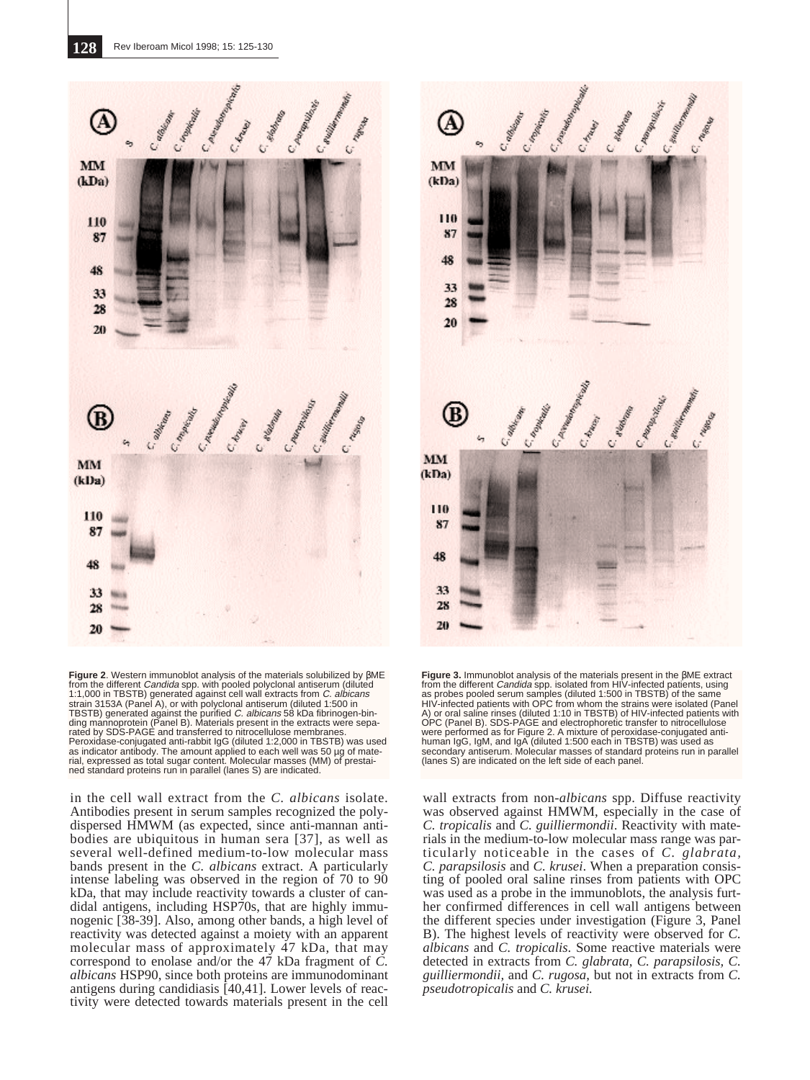

**Figure 2**. Western immunoblot analysis of the materials solubilized by βME from the different *Candida* spp. with pooled polyclonal antiserum (diluted<br>1:1,000 in TBSTB) generated against cell wall extracts from *C. albicans*<br>strain 3153A (Panel A), or with polyclonal antiserum (diluted 1:500 in TBSTB) generated against the purified *C. albicans* 58 kDa fibrinogen-bin-<br>ding mannoprotein (Panel B). Materials present in the extracts were sepa-<br>rated by SDS-PAGE and transferred to nitrocellulose membranes. Peroxidase-conjugated anti-rabbit IgG (diluted 1:2,000 in TBSTB) was used as indicator antibody. The amount applied to each well was 50 µg of mate-rial, expressed as total sugar content. Molecular masses (MM) of prestained standard proteins run in parallel (lanes S) are indicated.

in the cell wall extract from the *C. albicans* isolate. Antibodies present in serum samples recognized the polydispersed HMWM (as expected, since anti-mannan antibodies are ubiquitous in human sera [37], as well as several well-defined medium-to-low molecular mass bands present in the *C. albicans* extract. A particularly intense labeling was observed in the region of 70 to 90 kDa, that may include reactivity towards a cluster of candidal antigens, including HSP70s, that are highly immunogenic [38-39]. Also, among other bands, a high level of reactivity was detected against a moiety with an apparent molecular mass of approximately 47 kDa, that may correspond to enolase and/or the 47 kDa fragment of *C. albicans* HSP90, since both proteins are immunodominant antigens during candidiasis [40,41]. Lower levels of reactivity were detected towards materials present in the cell



**Figure 3.** Immunoblot analysis of the materials present in the βME extract from the different *Candida* spp. isolated from HIV-infected patients, using<br>as probes pooled serum samples (diluted 1:500 in TBSTB) of the same<br>HIV-infected patients with OPC from whom the strains were isolated (Panel A) or oral saline rinses (diluted 1:10 in TBSTB) of HIV-infected patients with<br>OPC (Panel B). SDS-PAGE and electrophoretic transfer to nitrocellulose<br>were performed as for Figure 2. A mixture of peroxidase-conjugated antihuman IgG, IgM, and IgA (diluted 1:500 each in TBSTB) was used as secondary antiserum. Molecular masses of standard proteins run in parallel (lanes S) are indicated on the left side of each panel.

wall extracts from non-*albicans* spp. Diffuse reactivity was observed against HMWM, especially in the case of *C. tropicalis* and *C. guilliermondii*. Reactivity with materials in the medium-to-low molecular mass range was particularly noticeable in the cases of *C. glabrata, C. parapsilosis* and *C. krusei*. When a preparation consisting of pooled oral saline rinses from patients with OPC was used as a probe in the immunoblots, the analysis further confirmed differences in cell wall antigens between the different species under investigation (Figure 3, Panel B). The highest levels of reactivity were observed for *C. albicans* and *C. tropicalis*. Some reactive materials were detected in extracts from *C. glabrata, C. parapsilosis, C. guilliermondii,* and *C. rugosa*, but not in extracts from *C. pseudotropicalis* and *C. krusei.*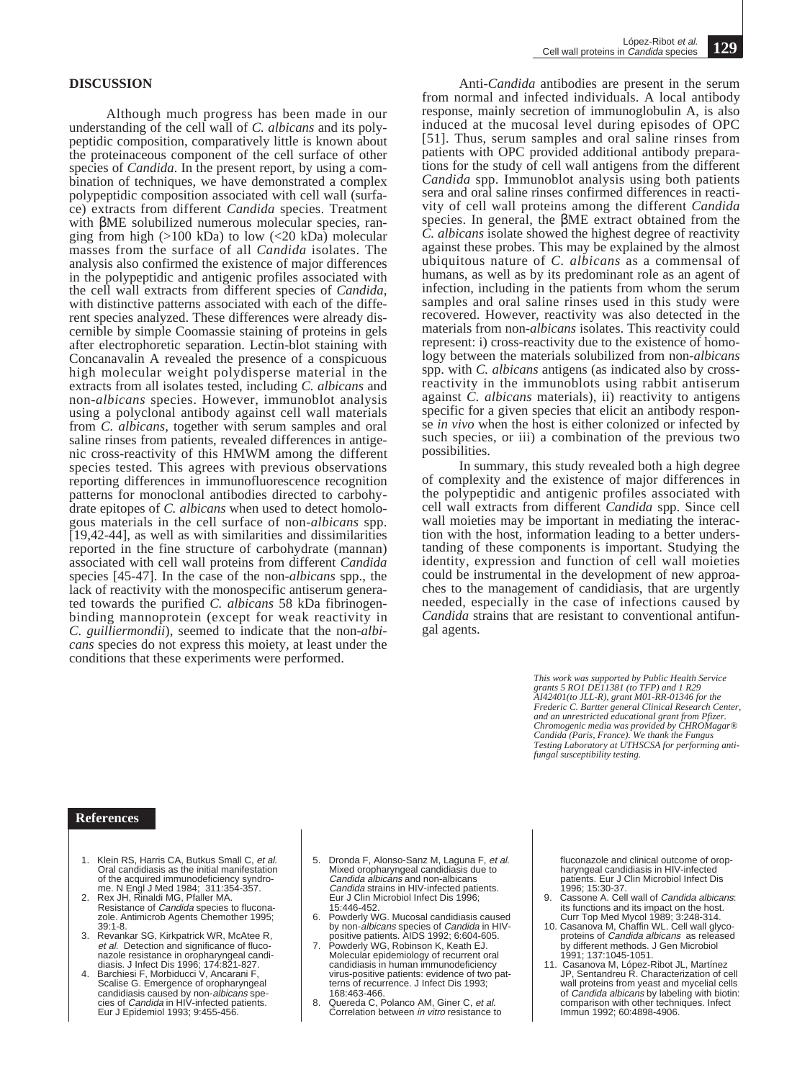#### **DISCUSSION**

Although much progress has been made in our understanding of the cell wall of *C. albicans* and its polypeptidic composition, comparatively little is known about the proteinaceous component of the cell surface of other species of *Candida*. In the present report, by using a combination of techniques, we have demonstrated a complex polypeptidic composition associated with cell wall (surface) extracts from different *Candida* species. Treatment with βME solubilized numerous molecular species, ranging from high  $(>100 \text{ kDa})$  to low  $(<20 \text{ kDa})$  molecular masses from the surface of all *Candida* isolates. The analysis also confirmed the existence of major differences in the polypeptidic and antigenic profiles associated with the cell wall extracts from different species of *Candida*, with distinctive patterns associated with each of the different species analyzed. These differences were already discernible by simple Coomassie staining of proteins in gels after electrophoretic separation. Lectin-blot staining with Concanavalin A revealed the presence of a conspicuous high molecular weight polydisperse material in the extracts from all isolates tested, including *C. albicans* and non-*albicans* species. However, immunoblot analysis using a polyclonal antibody against cell wall materials from *C. albicans*, together with serum samples and oral saline rinses from patients, revealed differences in antigenic cross-reactivity of this HMWM among the different species tested. This agrees with previous observations reporting differences in immunofluorescence recognition patterns for monoclonal antibodies directed to carbohydrate epitopes of *C. albicans* when used to detect homologous materials in the cell surface of non-*albicans* spp. [19,42-44], as well as with similarities and dissimilarities reported in the fine structure of carbohydrate (mannan) associated with cell wall proteins from different *Candida* species [45-47]. In the case of the non-*albicans* spp., the lack of reactivity with the monospecific antiserum generated towards the purified *C. albicans* 58 kDa fibrinogenbinding mannoprotein (except for weak reactivity in *C. guilliermondii*), seemed to indicate that the non-*albicans* species do not express this moiety, at least under the conditions that these experiments were performed.

Anti-*Candida* antibodies are present in the serum from normal and infected individuals. A local antibody response, mainly secretion of immunoglobulin A, is also induced at the mucosal level during episodes of OPC [51]. Thus, serum samples and oral saline rinses from patients with OPC provided additional antibody preparations for the study of cell wall antigens from the different *Candida* spp. Immunoblot analysis using both patients sera and oral saline rinses confirmed differences in reactivity of cell wall proteins among the different *Candida* species. In general, the βME extract obtained from the *C. albicans* isolate showed the highest degree of reactivity against these probes. This may be explained by the almost ubiquitous nature of *C. albicans* as a commensal of humans, as well as by its predominant role as an agent of infection, including in the patients from whom the serum samples and oral saline rinses used in this study were recovered. However, reactivity was also detected in the materials from non-*albicans* isolates. This reactivity could represent: i) cross-reactivity due to the existence of homology between the materials solubilized from non-*albicans* spp. with *C. albicans* antigens (as indicated also by crossreactivity in the immunoblots using rabbit antiserum against *C. albicans* materials), ii) reactivity to antigens specific for a given species that elicit an antibody response *in vivo* when the host is either colonized or infected by such species, or iii) a combination of the previous two possibilities.

In summary, this study revealed both a high degree of complexity and the existence of major differences in the polypeptidic and antigenic profiles associated with cell wall extracts from different *Candida* spp. Since cell wall moieties may be important in mediating the interaction with the host, information leading to a better understanding of these components is important. Studying the identity, expression and function of cell wall moieties could be instrumental in the development of new approaches to the management of candidiasis, that are urgently needed, especially in the case of infections caused by *Candida* strains that are resistant to conventional antifungal agents.

> *This work was supported by Public Health Service grants 5 RO1 DE11381 (to TFP) and 1 R29 AI42401(to JLL-R), grant M01-RR-01346 for the Frederic C. Bartter general Clinical Research Center, and an unrestricted educational grant from Pfizer. Chromogenic media was provided by CHROMagar® Candida (Paris, France). We thank the Fungus Testing Laboratory at UTHSCSA for performing antifungal susceptibility testing.*

## **References**

- 1. Klein RS, Harris CA, Butkus Small C, et al. Oral candidiasis as the initial manifestation of the acquired immunodeficiency syndro-
- me. N Engl J Med 1984; 311:354-357.<br>2. Rex JH, Rinaldi MG, Pfaller MA.<br>Resistance of *Candida* species to fluconazole. Antimicrob Agents Chemother 1995; 39:1-8.
- 3. Revankar SG, Kirkpatrick WR, McAtee R, et al. Detection and significance of fluco-
- nazole resistance in oropharyngeal candi-<br>diasis. J Infect Dis 1996; 174:821-827.<br>4. Barchiesi F, Morbiducci V, Ancarani F,<br>Scalise G. Emergence of oropharyngeal<br>candidiasis caused by non-*albicans* species of Candida in HIV-infected patients. Eur J Epidemiol 1993; 9:455-456.
- 5. Dronda F, Alonso-Sanz M, Laguna F, et al. Mixed oropharyngeal candidiasis due to Candida albicans and non-albicans Candida strains in HIV-infected patients. Eur J Clin Microbiol Infect Dis 1996; 15:446-452.
- Powderly WG. Mucosal candidiasis caused by non-*albicans* species of *Candida* in HIV-<br>positive patients. AIDS 1992; 6:604-605.
- Powderly WG, Robinson K, Keath EJ. Molecular epidemiology of recurrent oral candidiasis in human immunodeficiency virus-positive patients: evidence of two patterns of recurrence. J Infect Dis 1993; 168:463-466.
- 8. Quereda C, Polanco AM, Giner C, et al. Correlation between in vitro resistance to

fluconazole and clinical outcome of oropharyngeal candidiasis in HIV-infected patients. Eur J Clin Microbiol Infect Dis

- 1996; 15:30-37. 9. Cassone A. Cell wall of Candida albicans: its functions and its impact on the host. Curr Top Med Mycol 1989; 3:248-314. 10. Casanova M, Chaffin WL. Cell wall glyco-
- proteins of *Candida albicans* as released by different methods. J Gen Microbiol 1991; 137:1045-1051.
- 11. Casanova M, López-Ribot JL, Martínez JP, Sentandreu R. Characterization of cell wall proteins from yeast and mycelial cells wail proteins from yeast and my sellar seller<br>of *Candida albicans* by labeling with biotin: comparison with other techniques. Infect Immun 1992; 60:4898-4906.